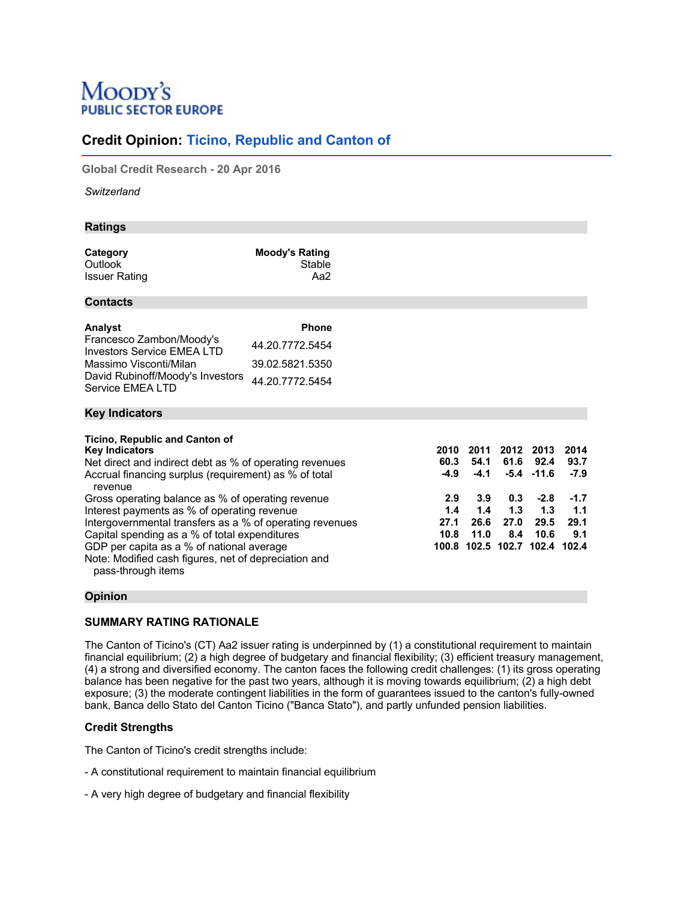# Moody's **PUBLIC SECTOR EUROPE**

# **Credit Opinion: Ticino, Republic and Canton of**

**Global Credit Research - 20 Apr 2016**

*Switzerland*

# **Ratings**

| Category             | <b>Moody's Rating</b> |
|----------------------|-----------------------|
| Outlook              | Stable                |
| <b>Issuer Rating</b> | Aa2                   |
| Contacts             |                       |

| Analyst                                                       | <b>Phone</b>    |
|---------------------------------------------------------------|-----------------|
| Francesco Zambon/Moody's<br><b>Investors Service EMEA LTD</b> | 44.20.7772.5454 |
| Massimo Visconti/Milan                                        | 39.02.5821.5350 |
| David Rubinoff/Moody's Investors<br>Service EMEA LTD          | 44.20.7772.5454 |

# **Key Indicators**

| <b>Ticino, Republic and Canton of</b>                                      |        |        |                               |                |        |
|----------------------------------------------------------------------------|--------|--------|-------------------------------|----------------|--------|
| <b>Key Indicators</b>                                                      | 2010   | 2011   |                               | 2012 2013      | 2014   |
| Net direct and indirect debt as % of operating revenues                    | 60.3   | 54.1   |                               | 61.6 92.4      | 93.7   |
| Accrual financing surplus (requirement) as % of total<br>revenue           | $-4.9$ | $-4.1$ |                               | $-5.4$ $-11.6$ | $-7.9$ |
| Gross operating balance as % of operating revenue                          | 2.9    | 3.9    | 0.3                           | $-2.8$         | $-1.7$ |
| Interest payments as % of operating revenue                                | 1.4    | 1.4    | 1.3                           | $-1.3$         | 1.1    |
| Intergovernmental transfers as a % of operating revenues                   | 27.1   | 26.6   | 27.0                          | 29.5           | 29.1   |
| Capital spending as a % of total expenditures                              | 10.8   | 11.0   | 8.4                           | 10.6           | 9.1    |
| GDP per capita as a % of national average                                  |        |        | 100.8 102.5 102.7 102.4 102.4 |                |        |
| Note: Modified cash figures, net of depreciation and<br>pass-through items |        |        |                               |                |        |

#### **Opinion**

# **SUMMARY RATING RATIONALE**

The Canton of Ticino's (CT) Aa2 issuer rating is underpinned by (1) a constitutional requirement to maintain financial equilibrium; (2) a high degree of budgetary and financial flexibility; (3) efficient treasury management, (4) a strong and diversified economy. The canton faces the following credit challenges: (1) its gross operating balance has been negative for the past two years, although it is moving towards equilibrium; (2) a high debt exposure; (3) the moderate contingent liabilities in the form of guarantees issued to the canton's fully-owned bank, Banca dello Stato del Canton Ticino ("Banca Stato"), and partly unfunded pension liabilities.

# **Credit Strengths**

The Canton of Ticino's credit strengths include:

- A constitutional requirement to maintain financial equilibrium
- A very high degree of budgetary and financial flexibility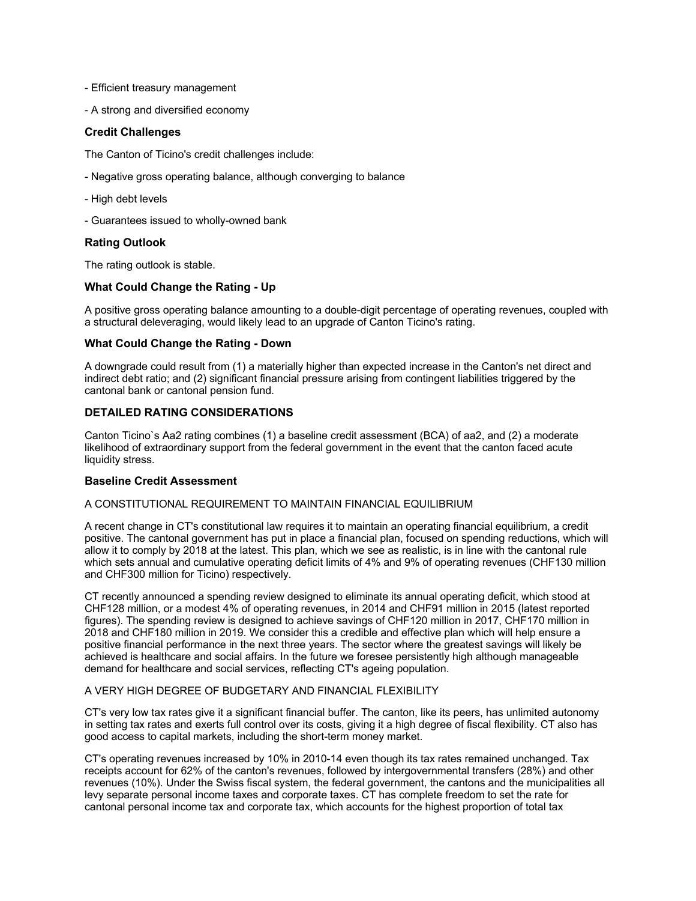- Efficient treasury management
- A strong and diversified economy

# **Credit Challenges**

The Canton of Ticino's credit challenges include:

- Negative gross operating balance, although converging to balance
- High debt levels
- Guarantees issued to wholly-owned bank

# **Rating Outlook**

The rating outlook is stable.

# **What Could Change the Rating - Up**

A positive gross operating balance amounting to a double-digit percentage of operating revenues, coupled with a structural deleveraging, would likely lead to an upgrade of Canton Ticino's rating.

# **What Could Change the Rating - Down**

A downgrade could result from (1) a materially higher than expected increase in the Canton's net direct and indirect debt ratio; and (2) significant financial pressure arising from contingent liabilities triggered by the cantonal bank or cantonal pension fund.

# **DETAILED RATING CONSIDERATIONS**

Canton Ticino`s Aa2 rating combines (1) a baseline credit assessment (BCA) of aa2, and (2) a moderate likelihood of extraordinary support from the federal government in the event that the canton faced acute liquidity stress.

# **Baseline Credit Assessment**

#### A CONSTITUTIONAL REQUIREMENT TO MAINTAIN FINANCIAL EQUILIBRIUM

A recent change in CT's constitutional law requires it to maintain an operating financial equilibrium, a credit positive. The cantonal government has put in place a financial plan, focused on spending reductions, which will allow it to comply by 2018 at the latest. This plan, which we see as realistic, is in line with the cantonal rule which sets annual and cumulative operating deficit limits of 4% and 9% of operating revenues (CHF130 million and CHF300 million for Ticino) respectively.

CT recently announced a spending review designed to eliminate its annual operating deficit, which stood at CHF128 million, or a modest 4% of operating revenues, in 2014 and CHF91 million in 2015 (latest reported figures). The spending review is designed to achieve savings of CHF120 million in 2017, CHF170 million in 2018 and CHF180 million in 2019. We consider this a credible and effective plan which will help ensure a positive financial performance in the next three years. The sector where the greatest savings will likely be achieved is healthcare and social affairs. In the future we foresee persistently high although manageable demand for healthcare and social services, reflecting CT's ageing population.

#### A VERY HIGH DEGREE OF BUDGETARY AND FINANCIAL FLEXIBILITY

CT's very low tax rates give it a significant financial buffer. The canton, like its peers, has unlimited autonomy in setting tax rates and exerts full control over its costs, giving it a high degree of fiscal flexibility. CT also has good access to capital markets, including the short-term money market.

CT's operating revenues increased by 10% in 2010-14 even though its tax rates remained unchanged. Tax receipts account for 62% of the canton's revenues, followed by intergovernmental transfers (28%) and other revenues (10%). Under the Swiss fiscal system, the federal government, the cantons and the municipalities all levy separate personal income taxes and corporate taxes. CT has complete freedom to set the rate for cantonal personal income tax and corporate tax, which accounts for the highest proportion of total tax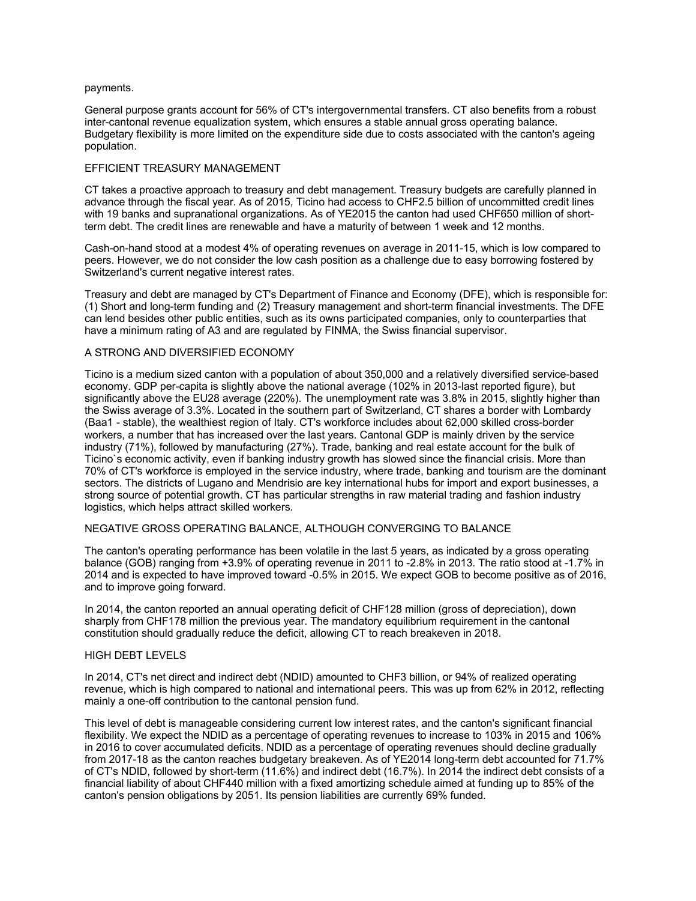#### payments.

General purpose grants account for 56% of CT's intergovernmental transfers. CT also benefits from a robust inter-cantonal revenue equalization system, which ensures a stable annual gross operating balance. Budgetary flexibility is more limited on the expenditure side due to costs associated with the canton's ageing population.

#### EFFICIENT TREASURY MANAGEMENT

CT takes a proactive approach to treasury and debt management. Treasury budgets are carefully planned in advance through the fiscal year. As of 2015, Ticino had access to CHF2.5 billion of uncommitted credit lines with 19 banks and supranational organizations. As of YE2015 the canton had used CHF650 million of shortterm debt. The credit lines are renewable and have a maturity of between 1 week and 12 months.

Cash-on-hand stood at a modest 4% of operating revenues on average in 2011-15, which is low compared to peers. However, we do not consider the low cash position as a challenge due to easy borrowing fostered by Switzerland's current negative interest rates.

Treasury and debt are managed by CT's Department of Finance and Economy (DFE), which is responsible for: (1) Short and long-term funding and (2) Treasury management and short-term financial investments. The DFE can lend besides other public entities, such as its owns participated companies, only to counterparties that have a minimum rating of A3 and are regulated by FINMA, the Swiss financial supervisor.

# A STRONG AND DIVERSIFIED ECONOMY

Ticino is a medium sized canton with a population of about 350,000 and a relatively diversified service-based economy. GDP per-capita is slightly above the national average (102% in 2013-last reported figure), but significantly above the EU28 average (220%). The unemployment rate was 3.8% in 2015, slightly higher than the Swiss average of 3.3%. Located in the southern part of Switzerland, CT shares a border with Lombardy (Baa1 - stable), the wealthiest region of Italy. CT's workforce includes about 62,000 skilled cross-border workers, a number that has increased over the last years. Cantonal GDP is mainly driven by the service industry (71%), followed by manufacturing (27%). Trade, banking and real estate account for the bulk of Ticino`s economic activity, even if banking industry growth has slowed since the financial crisis. More than 70% of CT's workforce is employed in the service industry, where trade, banking and tourism are the dominant sectors. The districts of Lugano and Mendrisio are key international hubs for import and export businesses, a strong source of potential growth. CT has particular strengths in raw material trading and fashion industry logistics, which helps attract skilled workers.

# NEGATIVE GROSS OPERATING BALANCE, ALTHOUGH CONVERGING TO BALANCE

The canton's operating performance has been volatile in the last 5 years, as indicated by a gross operating balance (GOB) ranging from +3.9% of operating revenue in 2011 to -2.8% in 2013. The ratio stood at -1.7% in 2014 and is expected to have improved toward -0.5% in 2015. We expect GOB to become positive as of 2016, and to improve going forward.

In 2014, the canton reported an annual operating deficit of CHF128 million (gross of depreciation), down sharply from CHF178 million the previous year. The mandatory equilibrium requirement in the cantonal constitution should gradually reduce the deficit, allowing CT to reach breakeven in 2018.

#### HIGH DEBT LEVELS

In 2014, CT's net direct and indirect debt (NDID) amounted to CHF3 billion, or 94% of realized operating revenue, which is high compared to national and international peers. This was up from 62% in 2012, reflecting mainly a one-off contribution to the cantonal pension fund.

This level of debt is manageable considering current low interest rates, and the canton's significant financial flexibility. We expect the NDID as a percentage of operating revenues to increase to 103% in 2015 and 106% in 2016 to cover accumulated deficits. NDID as a percentage of operating revenues should decline gradually from 2017-18 as the canton reaches budgetary breakeven. As of YE2014 long-term debt accounted for 71.7% of CT's NDID, followed by short-term (11.6%) and indirect debt (16.7%). In 2014 the indirect debt consists of a financial liability of about CHF440 million with a fixed amortizing schedule aimed at funding up to 85% of the canton's pension obligations by 2051. Its pension liabilities are currently 69% funded.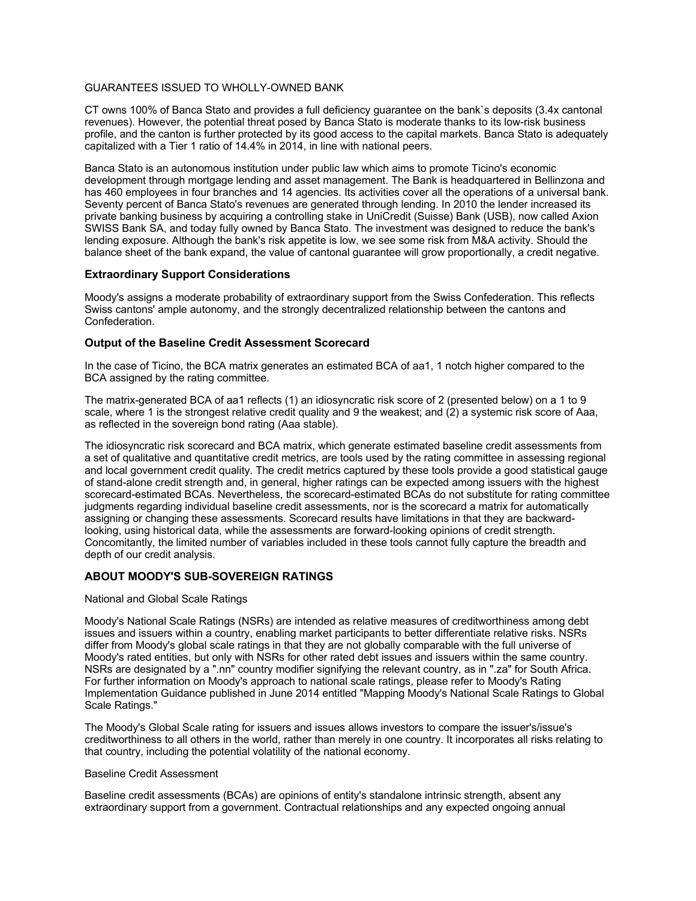#### GUARANTEES ISSUED TO WHOLLY-OWNED BANK

CT owns 100% of Banca Stato and provides a full deficiency guarantee on the bank`s deposits (3.4x cantonal revenues). However, the potential threat posed by Banca Stato is moderate thanks to its low-risk business profile, and the canton is further protected by its good access to the capital markets. Banca Stato is adequately capitalized with a Tier 1 ratio of 14.4% in 2014, in line with national peers.

Banca Stato is an autonomous institution under public law which aims to promote Ticino's economic development through mortgage lending and asset management. The Bank is headquartered in Bellinzona and has 460 employees in four branches and 14 agencies. Its activities cover all the operations of a universal bank. Seventy percent of Banca Stato's revenues are generated through lending. In 2010 the lender increased its private banking business by acquiring a controlling stake in UniCredit (Suisse) Bank (USB), now called Axion SWISS Bank SA, and today fully owned by Banca Stato. The investment was designed to reduce the bank's lending exposure. Although the bank's risk appetite is low, we see some risk from M&A activity. Should the balance sheet of the bank expand, the value of cantonal guarantee will grow proportionally, a credit negative.

# **Extraordinary Support Considerations**

Moody's assigns a moderate probability of extraordinary support from the Swiss Confederation. This reflects Swiss cantons' ample autonomy, and the strongly decentralized relationship between the cantons and Confederation.

# **Output of the Baseline Credit Assessment Scorecard**

In the case of Ticino, the BCA matrix generates an estimated BCA of aa1, 1 notch higher compared to the BCA assigned by the rating committee.

The matrix-generated BCA of aa1 reflects (1) an idiosyncratic risk score of 2 (presented below) on a 1 to 9 scale, where 1 is the strongest relative credit quality and 9 the weakest; and (2) a systemic risk score of Aaa, as reflected in the sovereign bond rating (Aaa stable).

The idiosyncratic risk scorecard and BCA matrix, which generate estimated baseline credit assessments from a set of qualitative and quantitative credit metrics, are tools used by the rating committee in assessing regional and local government credit quality. The credit metrics captured by these tools provide a good statistical gauge of stand-alone credit strength and, in general, higher ratings can be expected among issuers with the highest scorecard-estimated BCAs. Nevertheless, the scorecard-estimated BCAs do not substitute for rating committee judgments regarding individual baseline credit assessments, nor is the scorecard a matrix for automatically assigning or changing these assessments. Scorecard results have limitations in that they are backwardlooking, using historical data, while the assessments are forward-looking opinions of credit strength. Concomitantly, the limited number of variables included in these tools cannot fully capture the breadth and depth of our credit analysis.

# **ABOUT MOODY'S SUB-SOVEREIGN RATINGS**

#### National and Global Scale Ratings

Moody's National Scale Ratings (NSRs) are intended as relative measures of creditworthiness among debt issues and issuers within a country, enabling market participants to better differentiate relative risks. NSRs differ from Moody's global scale ratings in that they are not globally comparable with the full universe of Moody's rated entities, but only with NSRs for other rated debt issues and issuers within the same country. NSRs are designated by a ".nn" country modifier signifying the relevant country, as in ".za" for South Africa. For further information on Moody's approach to national scale ratings, please refer to Moody's Rating Implementation Guidance published in June 2014 entitled "Mapping Moody's National Scale Ratings to Global Scale Ratings."

The Moody's Global Scale rating for issuers and issues allows investors to compare the issuer's/issue's creditworthiness to all others in the world, rather than merely in one country. It incorporates all risks relating to that country, including the potential volatility of the national economy.

#### Baseline Credit Assessment

Baseline credit assessments (BCAs) are opinions of entity's standalone intrinsic strength, absent any extraordinary support from a government. Contractual relationships and any expected ongoing annual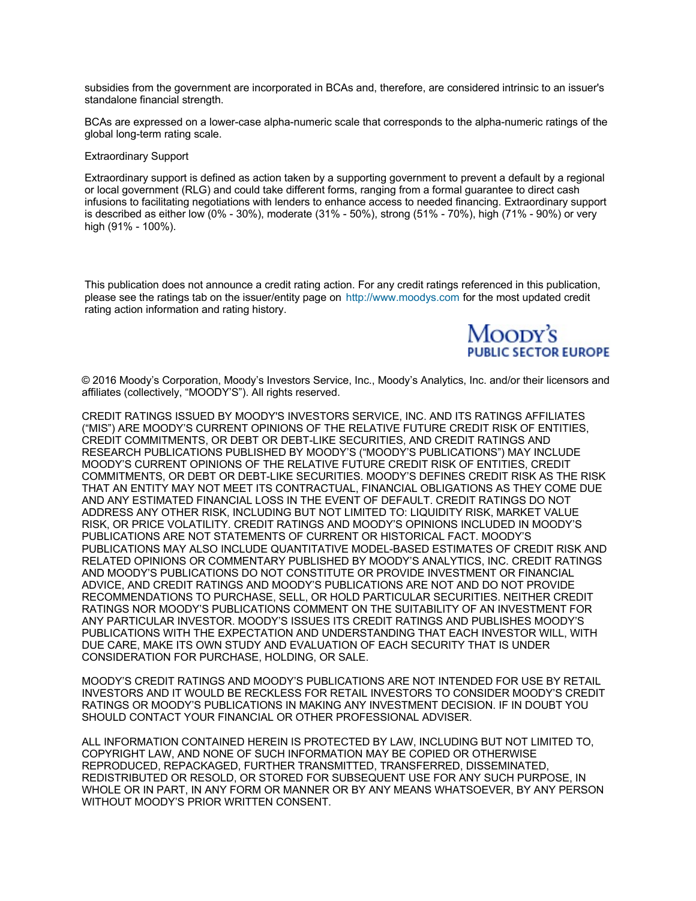subsidies from the government are incorporated in BCAs and, therefore, are considered intrinsic to an issuer's standalone financial strength.

BCAs are expressed on a lower-case alpha-numeric scale that corresponds to the alpha-numeric ratings of the global long-term rating scale.

#### Extraordinary Support

Extraordinary support is defined as action taken by a supporting government to prevent a default by a regional or local government (RLG) and could take different forms, ranging from a formal guarantee to direct cash infusions to facilitating negotiations with lenders to enhance access to needed financing. Extraordinary support is described as either low (0% - 30%), moderate (31% - 50%), strong (51% - 70%), high (71% - 90%) or very high (91% - 100%).

This publication does not announce a credit rating action. For any credit ratings referenced in this publication, please see the ratings tab on the issuer/entity page on [http://www.moodys.com](http://www.moodys.com/) for the most updated credit rating action information and rating history.



© 2016 Moody's Corporation, Moody's Investors Service, Inc., Moody's Analytics, Inc. and/or their licensors and affiliates (collectively, "MOODY'S"). All rights reserved.

CREDIT RATINGS ISSUED BY MOODY'S INVESTORS SERVICE, INC. AND ITS RATINGS AFFILIATES ("MIS") ARE MOODY'S CURRENT OPINIONS OF THE RELATIVE FUTURE CREDIT RISK OF ENTITIES, CREDIT COMMITMENTS, OR DEBT OR DEBT-LIKE SECURITIES, AND CREDIT RATINGS AND RESEARCH PUBLICATIONS PUBLISHED BY MOODY'S ("MOODY'S PUBLICATIONS") MAY INCLUDE MOODY'S CURRENT OPINIONS OF THE RELATIVE FUTURE CREDIT RISK OF ENTITIES, CREDIT COMMITMENTS, OR DEBT OR DEBT-LIKE SECURITIES. MOODY'S DEFINES CREDIT RISK AS THE RISK THAT AN ENTITY MAY NOT MEET ITS CONTRACTUAL, FINANCIAL OBLIGATIONS AS THEY COME DUE AND ANY ESTIMATED FINANCIAL LOSS IN THE EVENT OF DEFAULT. CREDIT RATINGS DO NOT ADDRESS ANY OTHER RISK, INCLUDING BUT NOT LIMITED TO: LIQUIDITY RISK, MARKET VALUE RISK, OR PRICE VOLATILITY. CREDIT RATINGS AND MOODY'S OPINIONS INCLUDED IN MOODY'S PUBLICATIONS ARE NOT STATEMENTS OF CURRENT OR HISTORICAL FACT. MOODY'S PUBLICATIONS MAY ALSO INCLUDE QUANTITATIVE MODEL-BASED ESTIMATES OF CREDIT RISK AND RELATED OPINIONS OR COMMENTARY PUBLISHED BY MOODY'S ANALYTICS, INC. CREDIT RATINGS AND MOODY'S PUBLICATIONS DO NOT CONSTITUTE OR PROVIDE INVESTMENT OR FINANCIAL ADVICE, AND CREDIT RATINGS AND MOODY'S PUBLICATIONS ARE NOT AND DO NOT PROVIDE RECOMMENDATIONS TO PURCHASE, SELL, OR HOLD PARTICULAR SECURITIES. NEITHER CREDIT RATINGS NOR MOODY'S PUBLICATIONS COMMENT ON THE SUITABILITY OF AN INVESTMENT FOR ANY PARTICULAR INVESTOR. MOODY'S ISSUES ITS CREDIT RATINGS AND PUBLISHES MOODY'S PUBLICATIONS WITH THE EXPECTATION AND UNDERSTANDING THAT EACH INVESTOR WILL, WITH DUE CARE, MAKE ITS OWN STUDY AND EVALUATION OF EACH SECURITY THAT IS UNDER CONSIDERATION FOR PURCHASE, HOLDING, OR SALE.

MOODY'S CREDIT RATINGS AND MOODY'S PUBLICATIONS ARE NOT INTENDED FOR USE BY RETAIL INVESTORS AND IT WOULD BE RECKLESS FOR RETAIL INVESTORS TO CONSIDER MOODY'S CREDIT RATINGS OR MOODY'S PUBLICATIONS IN MAKING ANY INVESTMENT DECISION. IF IN DOUBT YOU SHOULD CONTACT YOUR FINANCIAL OR OTHER PROFESSIONAL ADVISER.

ALL INFORMATION CONTAINED HEREIN IS PROTECTED BY LAW, INCLUDING BUT NOT LIMITED TO, COPYRIGHT LAW, AND NONE OF SUCH INFORMATION MAY BE COPIED OR OTHERWISE REPRODUCED, REPACKAGED, FURTHER TRANSMITTED, TRANSFERRED, DISSEMINATED, REDISTRIBUTED OR RESOLD, OR STORED FOR SUBSEQUENT USE FOR ANY SUCH PURPOSE, IN WHOLE OR IN PART, IN ANY FORM OR MANNER OR BY ANY MEANS WHATSOEVER, BY ANY PERSON WITHOUT MOODY'S PRIOR WRITTEN CONSENT.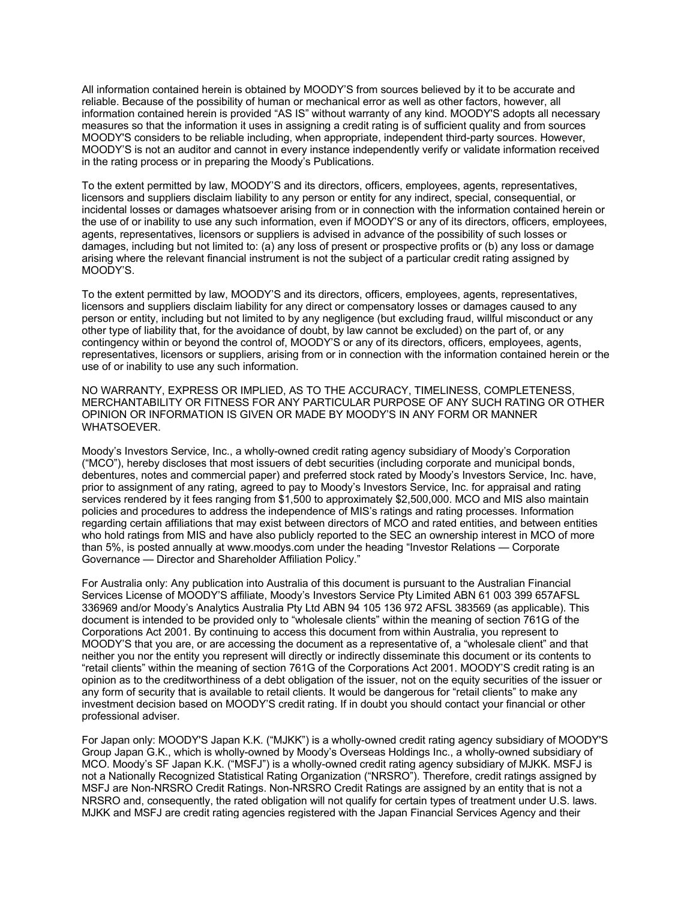All information contained herein is obtained by MOODY'S from sources believed by it to be accurate and reliable. Because of the possibility of human or mechanical error as well as other factors, however, all information contained herein is provided "AS IS" without warranty of any kind. MOODY'S adopts all necessary measures so that the information it uses in assigning a credit rating is of sufficient quality and from sources MOODY'S considers to be reliable including, when appropriate, independent third-party sources. However, MOODY'S is not an auditor and cannot in every instance independently verify or validate information received in the rating process or in preparing the Moody's Publications.

To the extent permitted by law, MOODY'S and its directors, officers, employees, agents, representatives, licensors and suppliers disclaim liability to any person or entity for any indirect, special, consequential, or incidental losses or damages whatsoever arising from or in connection with the information contained herein or the use of or inability to use any such information, even if MOODY'S or any of its directors, officers, employees, agents, representatives, licensors or suppliers is advised in advance of the possibility of such losses or damages, including but not limited to: (a) any loss of present or prospective profits or (b) any loss or damage arising where the relevant financial instrument is not the subject of a particular credit rating assigned by MOODY'S.

To the extent permitted by law, MOODY'S and its directors, officers, employees, agents, representatives, licensors and suppliers disclaim liability for any direct or compensatory losses or damages caused to any person or entity, including but not limited to by any negligence (but excluding fraud, willful misconduct or any other type of liability that, for the avoidance of doubt, by law cannot be excluded) on the part of, or any contingency within or beyond the control of, MOODY'S or any of its directors, officers, employees, agents, representatives, licensors or suppliers, arising from or in connection with the information contained herein or the use of or inability to use any such information.

NO WARRANTY, EXPRESS OR IMPLIED, AS TO THE ACCURACY, TIMELINESS, COMPLETENESS, MERCHANTABILITY OR FITNESS FOR ANY PARTICULAR PURPOSE OF ANY SUCH RATING OR OTHER OPINION OR INFORMATION IS GIVEN OR MADE BY MOODY'S IN ANY FORM OR MANNER WHATSOEVER.

Moody's Investors Service, Inc., a wholly-owned credit rating agency subsidiary of Moody's Corporation ("MCO"), hereby discloses that most issuers of debt securities (including corporate and municipal bonds, debentures, notes and commercial paper) and preferred stock rated by Moody's Investors Service, Inc. have, prior to assignment of any rating, agreed to pay to Moody's Investors Service, Inc. for appraisal and rating services rendered by it fees ranging from \$1,500 to approximately \$2,500,000. MCO and MIS also maintain policies and procedures to address the independence of MIS's ratings and rating processes. Information regarding certain affiliations that may exist between directors of MCO and rated entities, and between entities who hold ratings from MIS and have also publicly reported to the SEC an ownership interest in MCO of more than 5%, is posted annually at www.moodys.com under the heading "Investor Relations — Corporate Governance — Director and Shareholder Affiliation Policy."

For Australia only: Any publication into Australia of this document is pursuant to the Australian Financial Services License of MOODY'S affiliate, Moody's Investors Service Pty Limited ABN 61 003 399 657AFSL 336969 and/or Moody's Analytics Australia Pty Ltd ABN 94 105 136 972 AFSL 383569 (as applicable). This document is intended to be provided only to "wholesale clients" within the meaning of section 761G of the Corporations Act 2001. By continuing to access this document from within Australia, you represent to MOODY'S that you are, or are accessing the document as a representative of, a "wholesale client" and that neither you nor the entity you represent will directly or indirectly disseminate this document or its contents to "retail clients" within the meaning of section 761G of the Corporations Act 2001. MOODY'S credit rating is an opinion as to the creditworthiness of a debt obligation of the issuer, not on the equity securities of the issuer or any form of security that is available to retail clients. It would be dangerous for "retail clients" to make any investment decision based on MOODY'S credit rating. If in doubt you should contact your financial or other professional adviser.

For Japan only: MOODY'S Japan K.K. ("MJKK") is a wholly-owned credit rating agency subsidiary of MOODY'S Group Japan G.K., which is wholly-owned by Moody's Overseas Holdings Inc., a wholly-owned subsidiary of MCO. Moody's SF Japan K.K. ("MSFJ") is a wholly-owned credit rating agency subsidiary of MJKK. MSFJ is not a Nationally Recognized Statistical Rating Organization ("NRSRO"). Therefore, credit ratings assigned by MSFJ are Non-NRSRO Credit Ratings. Non-NRSRO Credit Ratings are assigned by an entity that is not a NRSRO and, consequently, the rated obligation will not qualify for certain types of treatment under U.S. laws. MJKK and MSFJ are credit rating agencies registered with the Japan Financial Services Agency and their